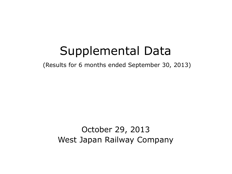# Supplemental Data

(Results for 6 months ended September 30, 2013)

October 29, 2013 West Japan Railway Company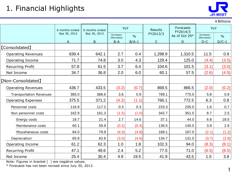## 1. Financial Highlights



¥Billions

|                                | 6 months ended | 6 months ended | YoY                     |               | Results      | Forecasts<br>FY2014/3 | YoY                     |               |
|--------------------------------|----------------|----------------|-------------------------|---------------|--------------|-----------------------|-------------------------|---------------|
|                                | Sep 30, 2012   | Sep 30, 2013   | Increase/<br>(Decrease) | $\frac{0}{0}$ | FY2013/3     | As of Oct 29*         | Increase/<br>(Decrease) | $\frac{0}{0}$ |
|                                | A              | $\overline{B}$ | $B-A$                   | $B/A-1$       | $\mathsf{C}$ | D                     | $D-C$                   | $D/C-1$       |
| <b>[Consolidated]</b>          |                |                |                         |               |              |                       |                         |               |
| <b>Operating Revenues</b>      | 639.4          | 642.1          | 2.7                     | 0.4           | 1,298.9      | 1,310.5               | 11.5                    | 0.9           |
| Operating Income               | 71.7           | 74.8           | 3.0                     | 4.3           | 129.4        | 125.0                 | (4.4)                   | (3.5)         |
| <b>Recurring Profit</b>        | 57.8           | 61.5           | 3.7                     | 6.4           | 104.6        | 101.5                 | (3.1)                   | (3.0)         |
| Net Income                     | 34.7           | 36.8           | 2.0                     | 6.0           | 60.1         | 57.5                  | (2.6)                   | (4.5)         |
| [Non-Consolidated]             |                |                |                         |               |              |                       |                         |               |
| <b>Operating Revenues</b>      | 436.7          | 433.5          | (3.2)                   | (0.7)         | 868.5        | 866.5                 | (2.0)                   | (0.2)         |
| <b>Transportation Revenues</b> | 385.0          | 388.6          | 3.6                     | 0.9           | 769.1        | 775.0                 | 5.8                     | 0.8           |
| <b>Operating Expenses</b>      | 375.5          | 371.2          | (4.2)                   | (1.1)         | 766.1        | 772.5                 | 6.3                     | 0.8           |
| Personnel costs                | 116.9          | 117.2          | 0.3                     | 0.3           | 233.3        | 235.0                 | 1.6                     | 0.7           |
| Non personnel costs            | 162.9          | 161.3          | (1.5)                   | (1.0)         | 342.7        | 351.5                 | 8.7                     | 2.5           |
| Energy costs                   | 18.7           | 21.4           | 2.7                     | 14.6          | 37.1         | 44.0                  | 6.8                     | 18.5          |
| Maintenance costs              | 60.1           | 59.9           | (0.2)                   | (0.4)         | 136.5        | 140.5                 | 3.9                     | 2.9           |
| Miscellaneous costs            | 84.0           | 79.9           | (4.0)                   | (4.8)         | 169.1        | 167.0                 | (2.1)                   | (1.2)         |
| Depreciation                   | 65.8           | 62.8           | (3.0)                   | (4.6)         | 134.7        | 131.0                 | (3.7)                   | (2.8)         |
| Operating Income               | 61.2           | 62.3           | 1.0                     | 1.8           | 102.3        | 94.0                  | (8.3)                   | (8.1)         |
| <b>Recurring Profit</b>        | 47.1           | 49.6           | 2.4                     | 5.2           | 77.5         | 71.0                  | (6.5)                   | (8.5)         |
| Net Income                     | 25.4           | 30.4           | 4.9                     | 19.5          | 41.9         | 43.5                  | 1.5                     | 3.8           |

Note: Figures in bracket ( ) are negative values.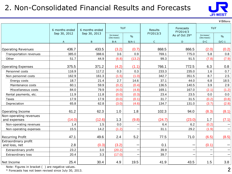### 2. Non-Consolidated Financial Results and Forecasts



¥Billions

|                                       | 6 months ended | 6 months ended | YoY<br><b>Results</b>   |               | Forecasts<br>FY2014/3 | YoY           |                         |               |
|---------------------------------------|----------------|----------------|-------------------------|---------------|-----------------------|---------------|-------------------------|---------------|
|                                       | Sep 30, 2012   | Sep 30, 2013   | Increase/<br>(Decrease) | $\frac{0}{0}$ | FY2013/3              | As of Oct 29* | Increase/<br>(Decrease) | $\frac{0}{0}$ |
|                                       | A              | B              | $B-A$                   | $B/A-1$       | $\mathsf{C}$          | D             | $D-C$                   | $D/C-1$       |
| <b>Operating Revenues</b>             | 436.7          | 433.5          | (3.2)                   | (0.7)         | 868.5                 | 866.5         | (2.0)                   | (0.2)         |
| Transportation revenues               | 385.0          | 388.6          | 3.6                     | 0.9           | 769.1                 | 775.0         | 5.8                     | 0.8           |
| Other                                 | 51.7           | 44.9           | (6.8)                   | (13.2)        | 99.3                  | 91.5          | (7.8)                   | (7.9)         |
|                                       |                |                |                         |               |                       |               |                         |               |
| <b>Operating Expenses</b>             | 375.5          | 371.2          | (4.2)                   | (1.1)         | 766.1                 | 772.5         | 6.3                     | 0.8           |
| Personnel costs                       | 116.9          | 117.2          | 0.3                     | 0.3           | 233.3                 | 235.0         | 1.6                     | 0.7           |
| Non personnel costs                   | 162.9          | 161.3          | (1.5)                   | (1.0)         | 342.7                 | 351.5         | 8.7                     | 2.5           |
| Energy costs                          | 18.7           | 21.4           | 2.7                     | 14.6          | 37.1                  | 44.0          | 6.8                     | 18.5          |
| Maintenance costs                     | 60.1           | 59.9           | (0.2)                   | (0.4)         | 136.5                 | 140.5         | 3.9                     | 2.9           |
| Miscellaneous costs                   | 84.0           | 79.9           | (4.0)                   | (4.8)         | 169.1                 | 167.0         | (2.1)                   | (1.2)         |
| Rental payments, etc.                 | 11.9           | 11.8           | (0.0)                   | (0.3)         | 23.4                  | 23.5          | 0.0                     | 0.0           |
| Taxes                                 | 17.9           | 17.9           | (0.0)                   | (0.1)         | 31.7                  | 31.5          | (0.2)                   | (0.8)         |
| Depreciation                          | 65.8           | 62.8           | (3.0)                   | (4.6)         | 134.7                 | 131.0         | (3.7)                   | (2.8)         |
| Operating Income                      | 61.2           | 62.3           | 1.0                     | 1.8           | 102.3                 | 94.0          | (8.3)                   | (8.1)         |
| Non-operating revenues                |                |                |                         |               |                       |               |                         |               |
| and expenses                          | (14.0)         | (12.6)         | 1.3                     | (9.8)         | (24.7)                | (23.0)        | 1.7                     | (7.1)         |
| Non-operating revenues                | 1.4            | 1.5            | 0.0                     |               | 6.4                   | 6.2           | (0.2)                   |               |
| Non-operating expenses                | 15.5           | 14.2           | (1.2)                   |               | 31.1                  | 29.2          | (1.9)                   |               |
| <b>Recurring Profit</b>               | 47.1           | 49.6           | 2.4                     | 5.2           | 77.5                  | 71.0          | (6.5)                   | (8.5)         |
| Extraordinary profit<br>and loss, net | 2.8            | (0.3)          | (3.2)                   |               | 0.1                   |               | (0.1)                   |               |
| Extraordinary profit                  | 23.2           | 3.0            | (20.2)                  |               | 39.9                  |               |                         |               |
| Extraordinary loss                    | 20.4           | 3.3            | (17.0)                  |               | 39.7                  |               |                         |               |
| Net Income                            | 25.4           | 30.4           | 4.9                     | 19.5          | 41.9                  | 43.5          | 1.5                     | 3.8           |

Note: Figures in bracket ( ) are negative values.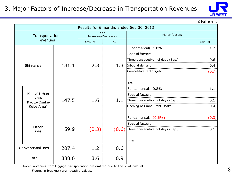#### 3. Major Factors of Increase/Decrease in Transportation Revenues



¥Billions

| Results for 6 months ended Sep 30, 2013 |                                                                                                                              |       |                            |               |                                            |        |  |  |
|-----------------------------------------|------------------------------------------------------------------------------------------------------------------------------|-------|----------------------------|---------------|--------------------------------------------|--------|--|--|
|                                         | Transportation                                                                                                               |       | YoY<br>Increase/(Decrease) |               | Major factors                              |        |  |  |
|                                         | revenues                                                                                                                     |       | Amount                     | $\frac{0}{0}$ |                                            | Amount |  |  |
|                                         |                                                                                                                              |       |                            |               | Fundamentals 1.0%                          | 1.7    |  |  |
|                                         |                                                                                                                              |       |                            | 1.3           | Special factors                            |        |  |  |
|                                         |                                                                                                                              | 181.1 | 2.3                        |               | Three consecutive hollidays (Sep.)         | 0.6    |  |  |
|                                         | Shinkansen                                                                                                                   |       |                            |               | Inbound demand                             | 0.4    |  |  |
|                                         |                                                                                                                              |       |                            |               | Competitive factors, etc.                  | (0.7)  |  |  |
|                                         |                                                                                                                              |       |                            |               |                                            |        |  |  |
|                                         |                                                                                                                              |       |                            |               | etc.                                       |        |  |  |
|                                         | Kansai Urban<br>Area<br>(Kyoto-Osaka-<br>Kobe Area)                                                                          |       | 1.6                        | 1.1           | Fundamentals 0.8%                          | 1.1    |  |  |
|                                         |                                                                                                                              |       |                            |               | Special factors                            |        |  |  |
|                                         |                                                                                                                              | 147.5 |                            |               | Three consecutive hollidays (Sep.)         | 0.1    |  |  |
|                                         |                                                                                                                              |       |                            |               | Opening of Grand Front Osaka               | 0.4    |  |  |
|                                         |                                                                                                                              |       |                            |               |                                            |        |  |  |
|                                         |                                                                                                                              |       |                            |               | Fundamentals (0.6%)                        | (0.3)  |  |  |
|                                         |                                                                                                                              |       |                            |               | Special factors                            |        |  |  |
|                                         | Other<br>lines                                                                                                               | 59.9  | (0.3)                      |               | $(0.6)$ Three consecutive hollidays (Sep.) | 0.1    |  |  |
|                                         |                                                                                                                              |       |                            |               |                                            |        |  |  |
|                                         |                                                                                                                              |       |                            |               | etc.                                       |        |  |  |
|                                         | Conventional lines                                                                                                           | 207.4 | 1.2                        | 0.6           |                                            |        |  |  |
|                                         | Total<br>388.6                                                                                                               |       | 3.6                        | 0.9           |                                            |        |  |  |
|                                         | Note: Revenues from luggage transportation are omitted due to the small amount.<br>Figures in bracket() are negative values. |       |                            |               |                                            |        |  |  |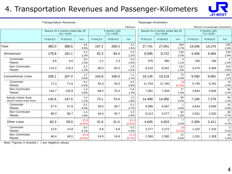#### 4. Transportation Revenues and Passenger-Kilometers



| <b>Transportation Revenues</b>               |                                                        |          |                 |                                    | Passenger-Kilometers |                                                        |          |          |                                    |          |                                  |                  |
|----------------------------------------------|--------------------------------------------------------|----------|-----------------|------------------------------------|----------------------|--------------------------------------------------------|----------|----------|------------------------------------|----------|----------------------------------|------------------|
|                                              |                                                        |          |                 |                                    |                      | ¥Billions                                              |          |          |                                    |          | Millions of passenger-kilometers |                  |
|                                              | Results for 6 months ended Sep 30<br>$(4/1 \sim 9/30)$ |          |                 | 3 months (2Q)<br>$(7/1 \sim 9/30)$ |                      | Results for 6 months ended Sep 30<br>$(4/1 \sim 9/30)$ |          |          | 3 months (20)<br>$(7/1 \sim 9/30)$ |          |                                  |                  |
|                                              | FY2013/3                                               | FY2014/3 | YoY             | FY2013/3                           | FY2014/3             | YoY                                                    | FY2013/3 | FY2014/3 | YoY                                | FY2013/3 | FY2014/3                         | YoY              |
| Total                                        | 385.0                                                  | 388.6    | 3.6<br>0.9%     | 197.2                              | 200.4                | 3.2<br>1.6%                                            | 27,741   | 27,941   | 200<br>0.7%                        | 14,046   | 14,275                           | 229<br>1.6%      |
| Shinkansen                                   | 178.8                                                  | 181.1    | 2.3<br>1.3%     | 92.3                               | 94.4                 | 2.0<br>2.2%                                            | 8,595    | 8,722    | 126<br>1.5%                        | 4,456    | 4,584                            | 128<br>2.9%      |
| Commuter<br>Passes                           | 4.6                                                    | 4.6      | 0.0<br>1.5%     | 2.2                                | 2.3                  | 0.0<br>2.4%                                            | 376      | 380      | 4<br>1.1%                          | 185      | 190                              | 4<br>2.4%        |
| Non-Commuter<br>Passes                       | 174.2                                                  | 176.4    | 2.2<br>1.3%     | 90.0                               | 92.0                 | 2.0<br>2.2%                                            | 8,219    | 8,341    | 122<br>1.5%                        | 4,270    | 4,394                            | 123<br>2.9%      |
| <b>Conventional Lines</b>                    | 206.1                                                  | 207.4    | 1.2<br>0.6%     | 104.8                              | 106.0                | 1.1<br>1.1%                                            | 19,145   | 19,219   | 73<br>0.4%                         | 9,590    | 9,691                            | 101<br>1.1%      |
| Commuter<br>Passes                           | 71.3                                                   | 71.6     | 0.2<br>0.4%     | 35.3                               | 35.5                 | 0.2<br>0.6%                                            | 11,763   | 11,760   | (3)<br>(0.0%                       | 5,746    | 5,762                            | 16<br>0.3%       |
| Non-Commuter<br>Passes                       | 134.7                                                  | 135.8    | 1.0<br>0.8%     | 69.5                               | 70.4                 | 0.9<br>1.3%                                            | 7,381    | 7,458    | 77<br>1.0%                         | 3,843    | 3,928                            | 85<br>2.2%       |
| Kansai Urban Area<br>(Kyoto-Osaka-Kobe Area) | 145.8                                                  | 147.5    | 1.6<br>1.1%     | 73.1                               | 74.4                 | 1.2<br>1.8%                                            | 14,499   | 14,565   | 66<br>0.5%                         | 7,195    | 7,279                            | 84<br>1.2%       |
| Commuter<br>Passes                           | 57.5                                                   | 57.8     | 0.2<br>0.4%     | 28.5                               | 28.7                 | 0.1<br>0.7%                                            | 9,486    | 9,487    | 0.0%                               | 4,643    | 4,659                            | 15<br>0.3%       |
| Non-Commuter<br>Passes                       | 88.3                                                   | 89.7     | 1.4<br>1.6%     | 44.6                               | 45.7                 | 1.0<br>2.4%                                            | 5,013    | 5,077    | 64<br>1.3%                         | 2,551    | 2,620                            | 68<br>2.7%       |
| Other Lines                                  | 60.3                                                   | 59.9     | (0.3)<br>(0.6%) | 31.6                               | 31.5                 | (0.1)<br>(0.5%)                                        | 4,645    | 4,653    | 7<br>0.2%                          | 2,394    | 2,411                            | 17<br>0.7%       |
| Commuter<br>Passes                           | 13.8                                                   | 13.8     | 0.0<br>0.1%     | 6.8                                | 6.8                  | 0.0<br>0.3%                                            | 2,277    | 2,272    | (4)<br>(0.2%)                      | 1,102    | 1,103                            | $\Omega$<br>0.1% |
| Non-Commuter<br>Passes                       | 46.4                                                   | 46.0     | (0.4)<br>(0.9%  | 24.8                               | 24.6                 | (0.1)<br>(0.7%)                                        | 2,368    | 2,380    | 12<br>0.5%                         | 1,291    | 1,308                            | 16<br>1.3%       |
| Note: Figures in bracket (                   | are negative values.                                   |          |                 |                                    |                      |                                                        |          |          |                                    |          |                                  |                  |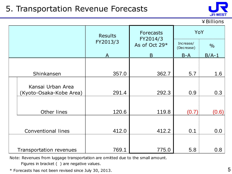## 5. Transportation Revenue Forecasts



¥Billions

|  |                                              | <b>Results</b> | <b>Forecasts</b><br>FY2014/3 | YoY                     |               |
|--|----------------------------------------------|----------------|------------------------------|-------------------------|---------------|
|  |                                              | FY2013/3       | As of Oct 29*                | Increase/<br>(Decrease) | $\frac{0}{0}$ |
|  |                                              | A              | B                            | $B-A$                   | $B/A-1$       |
|  |                                              |                |                              |                         |               |
|  | Shinkansen                                   | 357.0          | 362.7                        | 5.7                     | 1.6           |
|  | Kansai Urban Area<br>(Kyoto-Osaka-Kobe Area) | 291.4          | 292.3                        | 0.9                     | 0.3           |
|  | Other lines                                  | 120.6          | 119.8                        | (0.7)                   | (0.6)         |
|  | <b>Conventional lines</b>                    | 412.0          | 412.2                        | 0.1                     | 0.0           |
|  | <b>Transportation revenues</b>               | 769.1          | 775.0                        | 5.8                     | 0.8           |

Note: Revenues from luggage transportation are omitted due to the small amount.

Figures in bracket ( ) are negative values.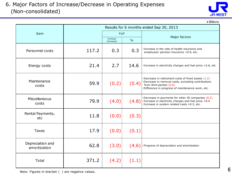

¥Billions

|                                  |       |                         |               | Results for 6 months ended Sep 30, 2013                                                                                                                                                  |
|----------------------------------|-------|-------------------------|---------------|------------------------------------------------------------------------------------------------------------------------------------------------------------------------------------------|
| Item                             |       | YoY                     |               |                                                                                                                                                                                          |
|                                  |       | Increase/<br>(Decrease) | $\frac{0}{0}$ | Major factors                                                                                                                                                                            |
| Personnel costs                  | 117.2 | 0.3                     | 0.3           | Increase in the rate of health insurance and<br>employees' pension insurance +0.6, etc.                                                                                                  |
| Energy costs                     | 21.4  | 2.7                     | 14.6          | ·Increase in electricity charges and fuel price +2.6, etc.                                                                                                                               |
| Maintenance<br>costs             | 59.9  | (0.2)                   | (0.4)         | Decrease in retirement costs of fixed assets (1.2)<br>Decrease in removal costs, excluding contributions<br>from third parties (0.8)<br>Difference in progress of maintenance work, etc. |
| Miscellaneous<br>costs           | 79.9  | (4.0)                   | (4.8)         | Decrease in payments for other JR companies (6.2)<br>· Increase in electricity charges and fuel price +0.4<br>· Increase in system related costs +0.2, etc.                              |
| Rental Payments,<br>etc          | 11.8  | (0.0)                   | (0.3)         |                                                                                                                                                                                          |
| <b>Taxes</b>                     | 17.9  | (0.0)                   | (0.1)         |                                                                                                                                                                                          |
| Depreciation and<br>amortization | 62.8  | (3.0)                   | (4.6)         | · Progress of depreciation and amortization                                                                                                                                              |
| Total                            | 371.2 | (4.2)                   | (1.1)         |                                                                                                                                                                                          |

Note: Figures in bracket ( ) are negative values.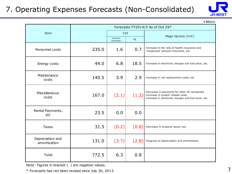#### 7. Operating Expenses Forecasts (Non-Consolidated)



¥Billions

|                                  |       |                         |               | Forecasts FY2014/3 As of Oct 29*                                                                                                           |  |
|----------------------------------|-------|-------------------------|---------------|--------------------------------------------------------------------------------------------------------------------------------------------|--|
| Item                             |       | YoY                     |               | Major factors (YoY)                                                                                                                        |  |
|                                  |       | Increase/<br>(Decrease) | $\frac{0}{0}$ |                                                                                                                                            |  |
| Personnel costs                  | 235.0 | 1.6                     | 0.7           | · Increase in the rate of health insurance and<br>employees' pension insurance, etc.                                                       |  |
| Energy costs                     | 44.0  | 6.8                     | 18.5          | · Increase in electricity charges and fuel price, etc.                                                                                     |  |
| Maintenance<br>costs             | 140.5 | 3.9                     | 2.9           | · Increase in rail replacement costs, etc.                                                                                                 |  |
| Miscellaneous<br>costs           | 167.0 | (2.1)                   | (1.2)         | Decrease in payments for other JR companies<br>·Increase in system related costs<br>· Increase in electricity charges and fuel price, etc. |  |
| Rental Payments,<br>etc          | 23.5  | 0.0                     | 0.0           |                                                                                                                                            |  |
| <b>Taxes</b>                     | 31.5  | (0.2)                   | (0.8)         | ·Decrease in property taxes, etc.                                                                                                          |  |
| Depreciation and<br>amortization | 131.0 | (3.7)                   | (2.8)         | ·Progress of depreciation and amortization                                                                                                 |  |
| Total                            | 772.5 | 6.3                     | 0.8           |                                                                                                                                            |  |

Note: Figures in bracket ( ) are negative values.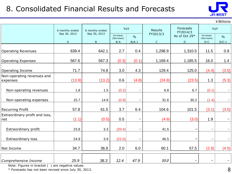### 8. Consolidated Financial Results and Forecasts



¥Billions

|                                        | 6 months ended               | 6 months ended          |                                  | YoY<br><b>Results</b>    |                         | Forecasts<br>FY2014/3 | YoY                              |                          |
|----------------------------------------|------------------------------|-------------------------|----------------------------------|--------------------------|-------------------------|-----------------------|----------------------------------|--------------------------|
|                                        | Sep 30, 2012<br>$\mathsf{A}$ | Sep 30, 2013<br>$\sf B$ | Increase/<br>(Decrease)<br>$B-A$ | $\frac{0}{0}$<br>$B/A-1$ | FY2013/3<br>$\mathsf C$ | As of Oct 29*<br>D    | Increase/<br>(Decrease)<br>$D-C$ | $\frac{0}{0}$<br>$D/C-1$ |
| <b>Operating Revenues</b>              | 639.4                        | 642.1                   | 2.7                              | 0.4                      | 1,298.9                 | 1,310.5               | 11.5                             | 0.9                      |
| <b>Operating Expenses</b>              | 567.6                        | 567.3                   | (0.3)                            | (0.1)                    | 1,169.4                 | 1,185.5               | 16.0                             | 1.4                      |
| Operating Income                       | 71.7                         | 74.8                    | 3.0                              | 4.3                      | 129.4                   | 125.0                 | (4.4)                            | (3.5)                    |
| Non-operating revenues and<br>expenses | (13.9)                       | (13.2)                  | 0.6                              | (4.8)                    | (24.8)                  | (23.5)                | 1.3                              | (5.3)                    |
| Non-operating revenues                 | 1.8                          | 1.5                     | (0.2)                            |                          | 6.8                     | 6.7                   | (0.1)                            |                          |
| Non-operating expenses                 | 15.7                         | 14.8                    | (0.9)                            |                          | 31.6                    | 30.2                  | (1.4)                            |                          |
| <b>Recurring Profit</b>                | 57.8                         | 61.5                    | 3.7                              | 6.4                      | 104.6                   | 101.5                 | (3.1)                            | (3.0)                    |
| Extraordinary profit and loss,<br>net  | (1.1)                        | (0.5)                   | 0.5                              | $\overline{\phantom{m}}$ | (4.9)                   | (3.0)                 | 1.9                              |                          |
| Extraordinary profit                   | 23.8                         | 3.3                     | (20.4)                           | $\qquad \qquad -$        | 41.5                    |                       | $\overline{\phantom{0}}$         |                          |
| <b>Extraordinary loss</b>              | 24.9                         | 3.9                     | (21.0)                           |                          | 46.5                    |                       | -                                |                          |
| Net Income                             | 34.7                         | 36.8                    | 2.0                              | 6.0                      | 60.1                    | 57.5                  | (2.6)                            | (4.5)                    |
| Comprehensive Income                   | 25.9                         | 38.3                    | 12.4                             | 47.9                     | 55.0                    |                       | $\overline{\phantom{m}}$         |                          |

Note: Figures in bracket ( ) are negative values.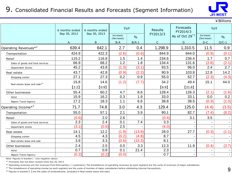#### 9. Consolidated Financial Results and Forecasts (Segment Information)



| 2. Consolidated Financial Results and Forecasts (Segment Information) |                |                |                         |               |                |                       |                         | <b>JR-WEST</b> |
|-----------------------------------------------------------------------|----------------|----------------|-------------------------|---------------|----------------|-----------------------|-------------------------|----------------|
|                                                                       |                |                |                         |               |                |                       |                         | ¥ Billions     |
|                                                                       | 6 months ended | 6 months ended | YoY                     |               | <b>Results</b> | Forecasts<br>FY2014/3 | YoY                     |                |
|                                                                       | Sep 30, 2012   | Sep 30, 2013   | Increase/<br>(Decrease) | $\frac{0}{0}$ | FY2013/3       | As of Oct $29^{*1}$   | Increase/<br>(Decrease) | $\frac{0}{0}$  |
|                                                                       | A              | B              | $B-A$                   | $B/A-1$       | $\mathsf C$    | D                     | $D-C$                   | $D/C-1$        |
| Operating Revenues $*^2$                                              | 639.4          | 642.1          | 2.7                     | 0.4           | 1,298.9        | 1,310.5               | 11.5                    | 0.9            |
| Transportation                                                        | 424.9          | 422.3          | (2.6)                   | (0.6)         | 844.9          | 844.0                 | (0.9)                   | (0.1)          |
| Retail                                                                | 115.2          | 116.8          | 1.5                     | 1.4           | 234.6          | 236.4                 | 1.7                     | 0.7            |
| Sales of goods and food services                                      | 66.9           | 68.2           | 1.2                     | 1.8           | 134.4          | 131.6                 | (2.8)                   | (2.1)          |
| Department Stores                                                     | 45.2           | 43.8           | (1.3)                   | (3.1)         | 93.5           | 96.0                  | 2.4                     | 2.7            |
| Real estate                                                           | 43.7           | 42.8           | (0.9)                   | (2.2)         | 90.9           | 103.8                 | 12.8                    | 14.2           |
| Shopping center                                                       | 27.1           | 27.3           | 0.2                     | 0.9           | 55.0           | 52.7                  | (2.3)                   | (4.3)          |
| Real estate lease and sale* <sup>4</sup>                              | 15.8           | 14.6           | (1.2)                   | (7.7)         | 34.2           | 49.4                  | 15.1                    | 44.0           |
|                                                                       | [2.2]          | [0.9]          |                         |               | [6.9]          | $[21.8]$              |                         |                |
| Other businesses                                                      | 55.4           | 60.2           | 4.7                     | 8.6           | 128.4          | 126.3                 | (2.1)                   | (1.6)          |
| Hotel                                                                 | 15.9           | 16.2           | 0.3                     | 1.9           | 33.0           | 33.1                  | 0.0                     | 0.2            |
| Nippon Travel Agency                                                  | 17.2           | 18.3           | 1.1                     | 6.6           | 38.8           | 38.5                  | (0.3)                   | (1.0)          |
| Operating Income* <sup>3</sup>                                        | 71.7           | 74.8           | 3.0                     | 4.3           | 129.4          | 125.0                 | (4.4)                   | (3.5)          |
| Transportation                                                        | 55.0           | 57.1           | 2.1                     | 3.9           | 90.1           | 82.7                  | (7.4)                   | (8.2)          |
| Retail                                                                | (0.6)          | 2.0            | 2.6                     |               | (0.4)          | 3.1                   | 3.5                     |                |
| Sales of goods and food services                                      | 2.3            | 2.4            | 0.1                     | 7.4           | 3.3            |                       |                         | $\blacksquare$ |
| Department stores                                                     | (3.1)          | (0.6)          | 2.5                     |               | (4.0)          |                       |                         | $\blacksquare$ |
| Real estate                                                           | 14.1           | 12.2           | (1.9)                   | (13.8)        | 28.0           | 27.7                  | (0.3)                   | (1.1)          |
| Shopping center                                                       | 4.5            | 4.3            | (0.2)                   | (4.8)         | 8.7            |                       |                         |                |
| Real estate lease and sale                                            | 3.9            | 3.3            | (0.6)                   | (15.3)        | 8.1            |                       |                         |                |
| Other businesses                                                      | 2.4            | 2.5            | 0.0                     | 3.3           | 12.3           | 11.9                  | (0.4)                   | (3.7)          |
| Hotel                                                                 | 0.7            | 0.9            | 0.1                     | 21.4          | 2.3            |                       |                         |                |
| Nippon Travel Agency                                                  | (0.2)          | (0.2)          | (0.0)                   |               | 0.7            |                       |                         |                |

Note: Figures in bracket ( ) are negative values.

\* 1 Forecasts has not been revised since July 30, 2013.

 $*^2$  Operating revenues are the revenues from third parties ( = customers). The breakdowns of operating revenues by each segment are the sums of revenues of major subsidiaries.

 $*^3$  The breakdowns of operating income by each segment are the sums of incomes of major subsidiaries before eliminating internal transactions.

\* 4 Figures in bracket 【 】 are the sales of condominiums. (Included in Real estate lease and sale)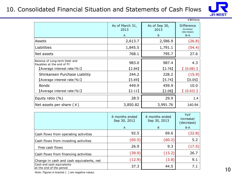#### 10. Consolidated Financial Situation and Statements of Cash Flows



|                                                            |                         |                       | ¥Billions                                    |
|------------------------------------------------------------|-------------------------|-----------------------|----------------------------------------------|
|                                                            | As of March 31,<br>2013 | As of Sep 30,<br>2013 | <b>Difference</b><br>increase/<br>(decrease) |
|                                                            | $\overline{A}$          | B                     | $B-A$                                        |
| Assets                                                     | 2,613.7                 | 2,586.9               | (26.8)                                       |
| Liabilities                                                | 1,845.5                 | 1,791.1               | (54.4)                                       |
| Net assets                                                 | 768.1                   | 795.7                 | 27.6                                         |
| Balance of Long-term Debt and<br>Payables at the end of FY | 983.0                   | 987.4                 | 4.3                                          |
| [Average interest rate $(\% )$ ]                           | [2.84]                  | $[2.76]$              | $(0.08)$ ]                                   |
| Shinkansen Purchase Liability                              | 244.2                   | 228.2                 | (15.9)                                       |
| [Average interest rate $(\% )$ ]                           | [5.69]                  | [5.74]                | [0.05]                                       |
| <b>Bonds</b>                                               | 449.9                   | 459.9                 | 10.0                                         |
| [Average interest rate $(\% )$ ]                           | [2.11]                  | [2.08]                | $(0.03)$ ]                                   |
| Equity ratio $(% )$                                        | 28.5                    | 29.9                  | 1.4                                          |
| Net assets per share $(*)$                                 | 3,850.82                | 3,991.76              | 140.94                                       |

|                                                       | 6 months ended<br>Sep 30, 2012<br>$\mathsf{A}$ | 6 months ended<br>Sep 30, 2013<br>B | YoY<br>increase/<br>(decrease)<br>$B-A$ |
|-------------------------------------------------------|------------------------------------------------|-------------------------------------|-----------------------------------------|
| Cash flows from operating activities                  | 92.5                                           | 69.6                                | (22.8)                                  |
| Cash flows from investing activities                  | (65.5)                                         | (60.2)                              | 5.2                                     |
| Free cash flows                                       | 26.9                                           | 9.3                                 | (17.5)                                  |
| Cash flows from financing activities                  | (39.9)                                         | (13.2)                              | 26.7                                    |
| Change in cash and cash equivalents, net              | (12.9)                                         | (3.8)                               | 9.1                                     |
| Cash and cash equivalents<br>at the end of the period | 37.3                                           | 44.5                                | 7.1                                     |

Note: Figures in bracket ( ) are negative values.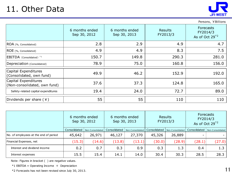## 11. Other Data



|                                                      |                                |                                |                            | <b>JR-WEST</b>                               |
|------------------------------------------------------|--------------------------------|--------------------------------|----------------------------|----------------------------------------------|
|                                                      |                                |                                |                            | Persons, ¥Billions                           |
|                                                      | 6 months ended<br>Sep 30, 2012 | 6 months ended<br>Sep 30, 2013 | <b>Results</b><br>FY2013/3 | Forecasts<br>FY2014/3<br>As of Oct $29^{*2}$ |
| ROA (%, Consolidated)                                | 2.8                            | 2.9                            | 4.9                        | 4.7                                          |
| ROE (%, Consolidated)                                | 4.9                            | 4.9                            | 8.3                        | 7.5                                          |
| EBITDA (Consolidated) <sup>*1</sup>                  | 150.7                          | 149.8                          | 290.3                      | 281.0                                        |
| Depreciation (Consolidated)                          | 78.9                           | 75.0                           | 160.8                      | 156.0                                        |
| Capital Expenditures<br>(Consolidated, own fund)     | 49.9                           | 46.2                           | 152.9                      | 192.0                                        |
| Capital Expenditures<br>(Non-consolidated, own fund) | 37.6                           | 37.3                           | 124.8                      | 165.0                                        |
| Safety-related capital expenditures                  | 19.4                           | 24.0                           | 72.7                       | 89.0                                         |
| Dividends per share $(*)$                            | 55                             | 55                             | 110                        | 110                                          |

| (¥ )   Dividends per share            | 55.                            |                  | לל.                            |                  | 110                        |                  | 110                                                        |                  |
|---------------------------------------|--------------------------------|------------------|--------------------------------|------------------|----------------------------|------------------|------------------------------------------------------------|------------------|
|                                       |                                |                  |                                |                  |                            |                  |                                                            |                  |
|                                       | 6 months ended<br>Sep 30, 2012 |                  | 6 months ended<br>Sep 30, 2013 |                  | <b>Results</b><br>FY2013/3 |                  | <b>Forecasts</b><br>FY2014/3<br>As of Oct 29 <sup>*2</sup> |                  |
|                                       | Consolidated                   | Non-Consolidated | Consolidated                   | Non-Consolidated | Consolidated               | Non-Consolidated | Consolidated                                               | Non-Consolidated |
| No. of employees at the end of period | 45,642                         | 26,971           | 46,127                         | 27,370           | 45,326                     | 26,889           |                                                            |                  |
| Financial Expenses, net               | (15.3)                         | (14.6)           | (13.8)                         | (13.1)           | (30.0)                     | (28.9)           | (28.1)                                                     | (27.0)           |
| Interest and dividend income          | 0.2                            | 0.7              | 0.3                            | 0.9              | 0.3                        | 1.3              | 0.4                                                        | 1.3              |
| Interest expenses                     | 15.5                           | 15.4             | 14.1                           | 14.0             | 30.4                       | 30.3             | 28.5                                                       | 28.3             |

Note: Figures in bracket ( ) are negative values.

 $*1$  EBITDA = Operating Income + Depreciation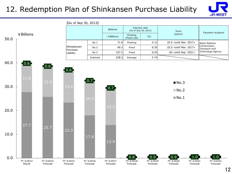#### 12. Redemption Plan of Shinkansen Purchase Liability